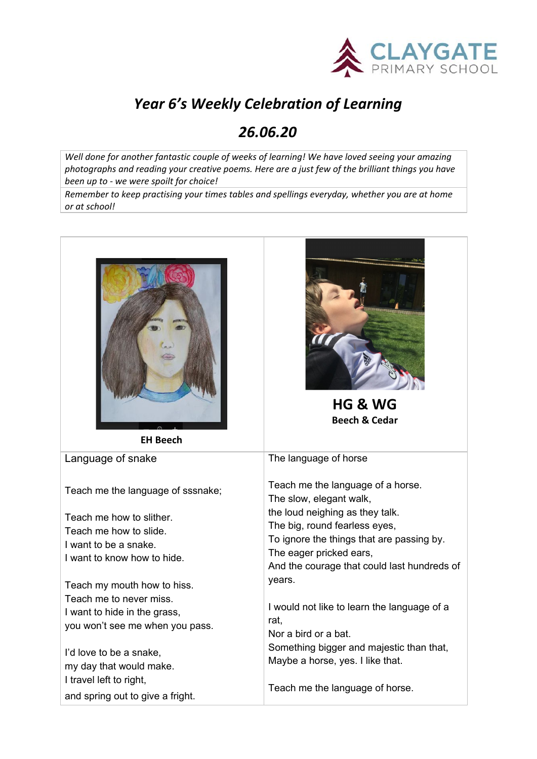

## *Year 6's Weekly Celebration of Learning*

## *26.06.20*

*Well done for another fantastic couple of weeks of learning! We have loved seeing your amazing photographs and reading your creative poems. Here are a just few of the brilliant things you have been up to - we were spoilt for choice!*

*Remember to keep practising your times tables and spellings everyday, whether you are at home or at school!*

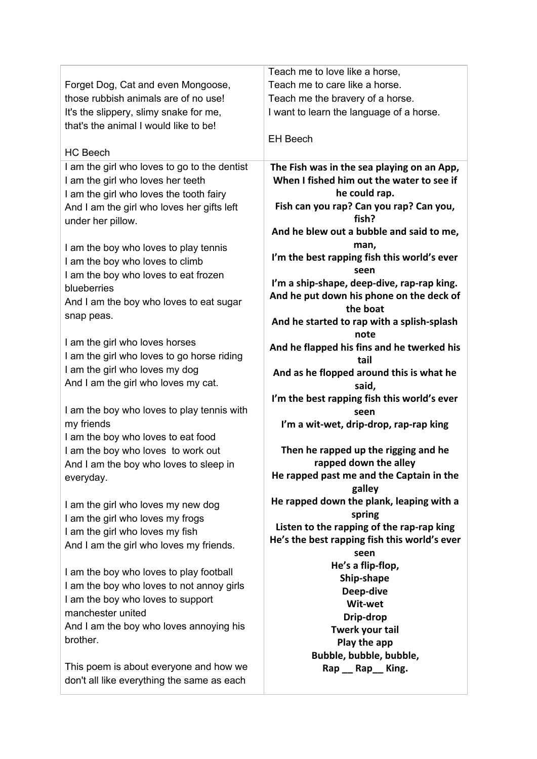|                                              | Teach me to love like a horse,                   |
|----------------------------------------------|--------------------------------------------------|
| Forget Dog, Cat and even Mongoose,           | Teach me to care like a horse.                   |
| those rubbish animals are of no use!         | Teach me the bravery of a horse.                 |
| It's the slippery, slimy snake for me,       | I want to learn the language of a horse.         |
| that's the animal I would like to be!        |                                                  |
|                                              | <b>EH Beech</b>                                  |
| <b>HC Beech</b>                              |                                                  |
| I am the girl who loves to go to the dentist | The Fish was in the sea playing on an App,       |
| I am the girl who loves her teeth            | When I fished him out the water to see if        |
| I am the girl who loves the tooth fairy      | he could rap.                                    |
| And I am the girl who loves her gifts left   | Fish can you rap? Can you rap? Can you,          |
| under her pillow.                            | fish?                                            |
|                                              | And he blew out a bubble and said to me,         |
| I am the boy who loves to play tennis        | man.                                             |
| I am the boy who loves to climb              | I'm the best rapping fish this world's ever      |
| I am the boy who loves to eat frozen         | seen                                             |
| blueberries                                  | I'm a ship-shape, deep-dive, rap-rap king.       |
| And I am the boy who loves to eat sugar      | And he put down his phone on the deck of         |
| snap peas.                                   | the boat                                         |
|                                              | And he started to rap with a splish-splash       |
| I am the girl who loves horses               | note                                             |
| I am the girl who loves to go horse riding   | And he flapped his fins and he twerked his       |
| I am the girl who loves my dog               | tail<br>And as he flopped around this is what he |
| And I am the girl who loves my cat.          | said,                                            |
|                                              | I'm the best rapping fish this world's ever      |
| I am the boy who loves to play tennis with   | seen                                             |
| my friends                                   | I'm a wit-wet, drip-drop, rap-rap king           |
| I am the boy who loves to eat food           |                                                  |
| I am the boy who loves to work out           | Then he rapped up the rigging and he             |
| And I am the boy who loves to sleep in       | rapped down the alley                            |
| everyday.                                    | He rapped past me and the Captain in the         |
|                                              | galley                                           |
| I am the girl who loves my new dog           | He rapped down the plank, leaping with a         |
| I am the girl who loves my frogs             | spring                                           |
| I am the girl who loves my fish              | Listen to the rapping of the rap-rap king        |
| And I am the girl who loves my friends.      | He's the best rapping fish this world's ever     |
|                                              | seen<br>He's a flip-flop,                        |
| I am the boy who loves to play football      | Ship-shape                                       |
| I am the boy who loves to not annoy girls    | Deep-dive                                        |
| I am the boy who loves to support            | Wit-wet                                          |
| manchester united                            | Drip-drop                                        |
| And I am the boy who loves annoying his      | Twerk your tail                                  |
| brother.                                     | Play the app                                     |
|                                              | Bubble, bubble, bubble,                          |
| This poem is about everyone and how we       | Rap __ Rap __ King.                              |
| don't all like everything the same as each   |                                                  |
|                                              |                                                  |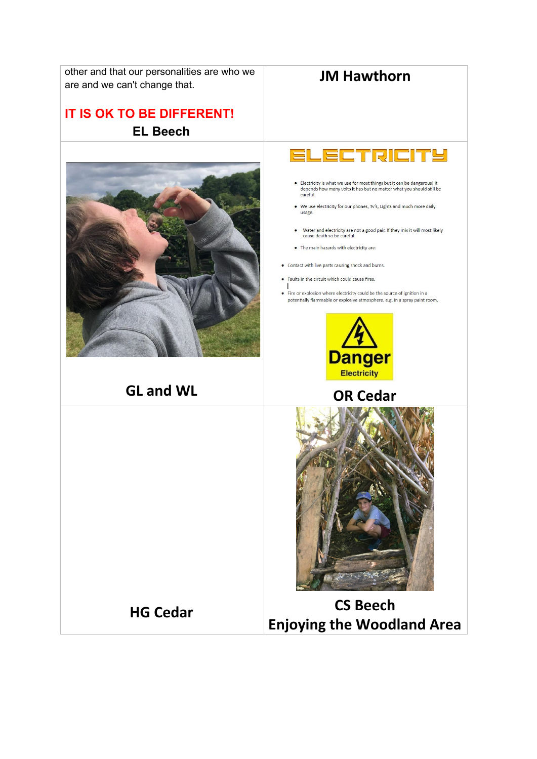

**Enjoying the Woodland Area**